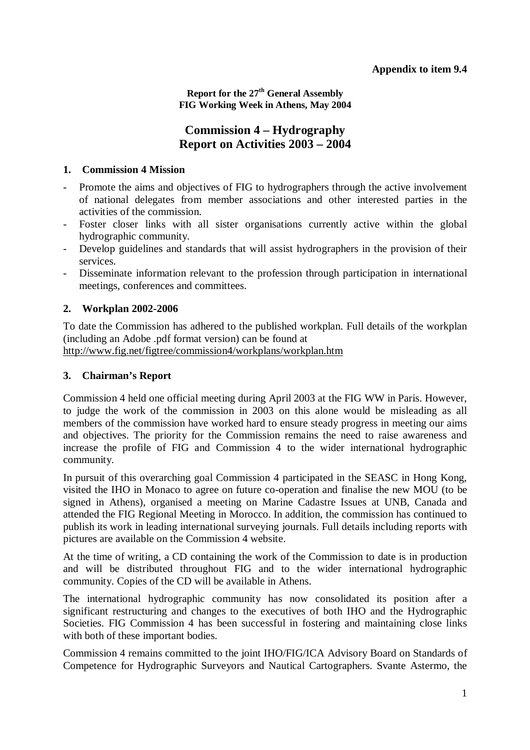**Report for the 27th General Assembly FIG Working Week in Athens, May 2004** 

# **Commission 4 – Hydrography Report on Activities 2003 – 2004**

### **1. Commission 4 Mission**

- Promote the aims and objectives of FIG to hydrographers through the active involvement of national delegates from member associations and other interested parties in the activities of the commission.
- Foster closer links with all sister organisations currently active within the global hydrographic community.
- Develop guidelines and standards that will assist hydrographers in the provision of their services.
- Disseminate information relevant to the profession through participation in international meetings, conferences and committees.

# **2. Workplan 2002-2006**

To date the Commission has adhered to the published workplan. Full details of the workplan (including an Adobe .pdf format version) can be found at http://www.fig.net/figtree/commission4/workplans/workplan.htm

### **3. Chairman's Report**

Commission 4 held one official meeting during April 2003 at the FIG WW in Paris. However, to judge the work of the commission in 2003 on this alone would be misleading as all members of the commission have worked hard to ensure steady progress in meeting our aims and objectives. The priority for the Commission remains the need to raise awareness and increase the profile of FIG and Commission 4 to the wider international hydrographic community.

In pursuit of this overarching goal Commission 4 participated in the SEASC in Hong Kong, visited the IHO in Monaco to agree on future co-operation and finalise the new MOU (to be signed in Athens), organised a meeting on Marine Cadastre Issues at UNB, Canada and attended the FIG Regional Meeting in Morocco. In addition, the commission has continued to publish its work in leading international surveying journals. Full details including reports with pictures are available on the Commission 4 website.

At the time of writing, a CD containing the work of the Commission to date is in production and will be distributed throughout FIG and to the wider international hydrographic community. Copies of the CD will be available in Athens.

The international hydrographic community has now consolidated its position after a significant restructuring and changes to the executives of both IHO and the Hydrographic Societies. FIG Commission 4 has been successful in fostering and maintaining close links with both of these important bodies.

Commission 4 remains committed to the joint IHO/FIG/ICA Advisory Board on Standards of Competence for Hydrographic Surveyors and Nautical Cartographers. Svante Astermo, the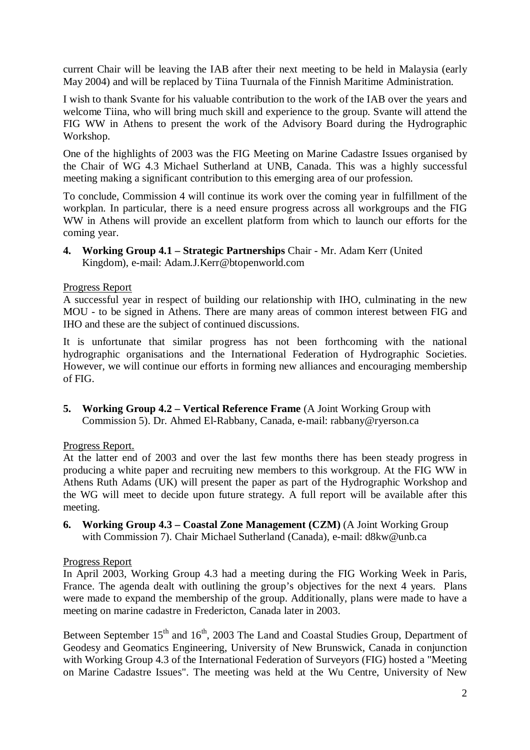current Chair will be leaving the IAB after their next meeting to be held in Malaysia (early May 2004) and will be replaced by Tiina Tuurnala of the Finnish Maritime Administration.

I wish to thank Svante for his valuable contribution to the work of the IAB over the years and welcome Tiina, who will bring much skill and experience to the group. Svante will attend the FIG WW in Athens to present the work of the Advisory Board during the Hydrographic Workshop.

One of the highlights of 2003 was the FIG Meeting on Marine Cadastre Issues organised by the Chair of WG 4.3 Michael Sutherland at UNB, Canada. This was a highly successful meeting making a significant contribution to this emerging area of our profession.

To conclude, Commission 4 will continue its work over the coming year in fulfillment of the workplan. In particular, there is a need ensure progress across all workgroups and the FIG WW in Athens will provide an excellent platform from which to launch our efforts for the coming year.

**4. Working Group 4.1 – Strategic Partnerships** Chair - Mr. Adam Kerr (United Kingdom), e-mail: Adam.J.Kerr@btopenworld.com

### Progress Report

A successful year in respect of building our relationship with IHO, culminating in the new MOU - to be signed in Athens. There are many areas of common interest between FIG and IHO and these are the subject of continued discussions.

It is unfortunate that similar progress has not been forthcoming with the national hydrographic organisations and the International Federation of Hydrographic Societies. However, we will continue our efforts in forming new alliances and encouraging membership of FIG.

**5. Working Group 4.2 – Vertical Reference Frame** (A Joint Working Group with Commission 5). Dr. Ahmed El-Rabbany, Canada, e-mail: rabbany@ryerson.ca

# Progress Report.

At the latter end of 2003 and over the last few months there has been steady progress in producing a white paper and recruiting new members to this workgroup. At the FIG WW in Athens Ruth Adams (UK) will present the paper as part of the Hydrographic Workshop and the WG will meet to decide upon future strategy. A full report will be available after this meeting.

**6. Working Group 4.3 – Coastal Zone Management (CZM)** (A Joint Working Group with Commission 7). Chair Michael Sutherland (Canada), e-mail: d8kw@unb.ca

#### Progress Report

In April 2003, Working Group 4.3 had a meeting during the FIG Working Week in Paris, France. The agenda dealt with outlining the group's objectives for the next 4 years. Plans were made to expand the membership of the group. Additionally, plans were made to have a meeting on marine cadastre in Fredericton, Canada later in 2003.

Between September 15<sup>th</sup> and 16<sup>th</sup>, 2003 The Land and Coastal Studies Group, Department of Geodesy and Geomatics Engineering, University of New Brunswick, Canada in conjunction with Working Group 4.3 of the International Federation of Surveyors (FIG) hosted a "Meeting on Marine Cadastre Issues". The meeting was held at the Wu Centre, University of New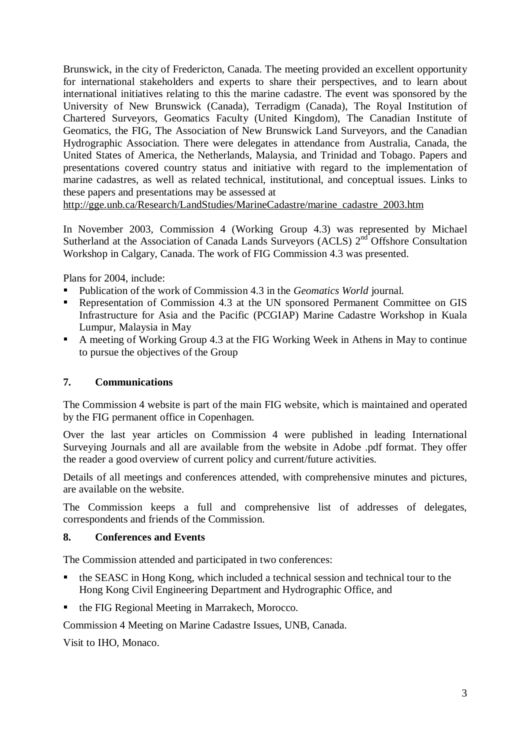Brunswick, in the city of Fredericton, Canada. The meeting provided an excellent opportunity for international stakeholders and experts to share their perspectives, and to learn about international initiatives relating to this the marine cadastre. The event was sponsored by the University of New Brunswick (Canada), Terradigm (Canada), The Royal Institution of Chartered Surveyors, Geomatics Faculty (United Kingdom), The Canadian Institute of Geomatics, the FIG, The Association of New Brunswick Land Surveyors, and the Canadian Hydrographic Association. There were delegates in attendance from Australia, Canada, the United States of America, the Netherlands, Malaysia, and Trinidad and Tobago. Papers and presentations covered country status and initiative with regard to the implementation of marine cadastres, as well as related technical, institutional, and conceptual issues. Links to these papers and presentations may be assessed at

http://gge.unb.ca/Research/LandStudies/MarineCadastre/marine\_cadastre\_2003.htm

In November 2003, Commission 4 (Working Group 4.3) was represented by Michael Sutherland at the Association of Canada Lands Surveyors (ACLS) 2<sup>nd</sup> Offshore Consultation Workshop in Calgary, Canada. The work of FIG Commission 4.3 was presented.

Plans for 2004, include:

- **Publication of the work of Commission 4.3 in the** *Geomatics World* **journal.**
- **Representation of Commission 4.3 at the UN sponsored Permanent Committee on GIS** Infrastructure for Asia and the Pacific (PCGIAP) Marine Cadastre Workshop in Kuala Lumpur, Malaysia in May
- A meeting of Working Group 4.3 at the FIG Working Week in Athens in May to continue to pursue the objectives of the Group

# **7. Communications**

The Commission 4 website is part of the main FIG website, which is maintained and operated by the FIG permanent office in Copenhagen.

Over the last year articles on Commission 4 were published in leading International Surveying Journals and all are available from the website in Adobe .pdf format. They offer the reader a good overview of current policy and current/future activities.

Details of all meetings and conferences attended, with comprehensive minutes and pictures, are available on the website.

The Commission keeps a full and comprehensive list of addresses of delegates, correspondents and friends of the Commission.

# **8. Conferences and Events**

The Commission attended and participated in two conferences:

- the SEASC in Hong Kong, which included a technical session and technical tour to the Hong Kong Civil Engineering Department and Hydrographic Office, and
- the FIG Regional Meeting in Marrakech, Morocco.

Commission 4 Meeting on Marine Cadastre Issues, UNB, Canada.

Visit to IHO, Monaco.